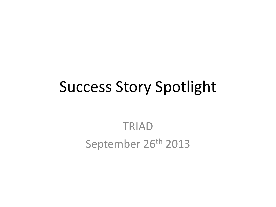# Success Story Spotlight

#### TRIAD September 26<sup>th</sup> 2013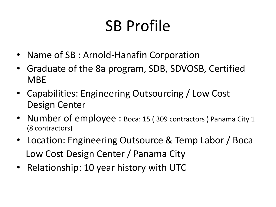# SB Profile

- Name of SB : Arnold-Hanafin Corporation
- Graduate of the 8a program, SDB, SDVOSB, Certified MBE
- Capabilities: Engineering Outsourcing / Low Cost Design Center
- Number of employee : Boca: 15 (309 contractors) Panama City 1 (8 contractors)
- Location: Engineering Outsource & Temp Labor / Boca Low Cost Design Center / Panama City
- Relationship: 10 year history with UTC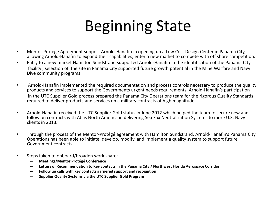# Beginning State

- Mentor Protégé Agreement support Arnold-Hanafin in opening up a Low Cost Design Center in Panama City, allowing Arnold-Hanafin to expand their capabilities, enter a new market to compete with off shore competition.
- Entry to a new market Hamilton Sundstrand supported Arnold-Hanafin in the identification of the Panama City facility , selection of the site in Panama City supported future growth potential in the Mine Warfare and Navy Dive community programs.
- Arnold-Hanafin implemented the required documentation and process controls necessary to produce the quality products and services to support the Governments urgent needs requirements. Arnold-Hanafin's participation in the UTC Supplier Gold process prepared the Panama City Operations team for the rigorous Quality Standards required to deliver products and services on a military contracts of high magnitude.
- Arnold-Hanafin received the UTC Supplier Gold status in June 2012 which helped the team to secure new and follow on contracts with Atlas North America in delivering Sea Fox Neutralization Systems to more U.S. Navy clients in 2013.
- Through the process of the Mentor-Protégé agreement with Hamilton Sundstrand, Arnold-Hanafin's Panama City Operations has been able to initiate, develop, modify, and implement a quality system to support future Government contracts.
- Steps taken to onboard/broaden work share:
	- **Meetings/Mentor Protégé Conference**
	- **Letters of Recommendation to Key contacts in the Panama City / Northwest Florida Aerospace Corridor**
	- **Follow up calls with key contacts garnered support and recognition**
	- **Supplier Quality Systems via the UTC Supplier Gold Program**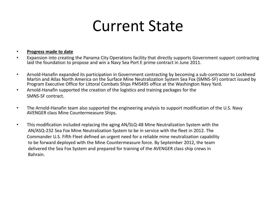# Current State

#### • **Progress made to date**

- Expansion into creating the Panama City Operations facility that directly supports Government support contracting laid the foundation to propose and win a Navy Sea Port E prime contract in June 2011.
- Arnold-Hanafin expanded its participation in Government contracting by becoming a sub-contractor to Lockheed Martin and Atlas North America on the Surface Mine Neutralization System Sea Fox (SMNS-SF) contract issued by Program Executive Office for Littoral Combats Ships PMS495 office at the Washington Navy Yard.
- Arnold-Hanafin supported the creation of the logistics and training packages for the SMNS-SF contract.
- The Arnold-Hanafin team also supported the engineering analysis to support modification of the U.S. Navy AVENGER class Mine Countermeasure Ships.
- This modification included replacing the aging AN/SLQ-48 Mine Neutralization System with the AN/ASQ-232 Sea Fox Mine Neutralization System to be in service with the fleet in 2012. The Commander U.S. Fifth Fleet defined an urgent need for a reliable mine neutralization capability to be forward deployed with the Mine Countermeasure force. By September 2012, the team delivered the Sea Fox System and prepared for training of the AVENGER class ship crews in Bahrain.